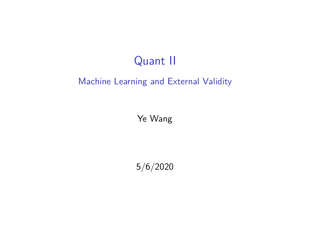## Quant II

#### Machine Learning and External Validity

Ye Wang

5/6/2020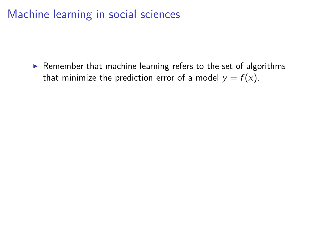$\triangleright$  Remember that machine learning refers to the set of algorithms that minimize the prediction error of a model  $y = f(x)$ .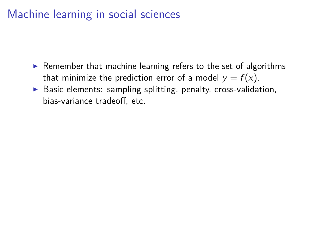- $\triangleright$  Remember that machine learning refers to the set of algorithms that minimize the prediction error of a model  $y = f(x)$ .
- $\triangleright$  Basic elements: sampling splitting, penalty, cross-validation, bias-variance tradeoff, etc.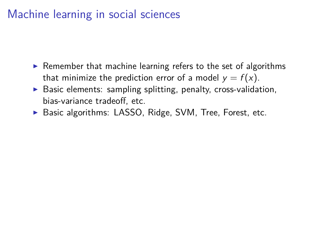- $\triangleright$  Remember that machine learning refers to the set of algorithms that minimize the prediction error of a model  $y = f(x)$ .
- $\triangleright$  Basic elements: sampling splitting, penalty, cross-validation, bias-variance tradeoff, etc.
- ▶ Basic algorithms: LASSO, Ridge, SVM, Tree, Forest, etc.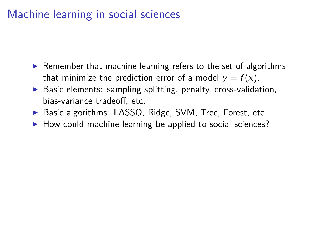- $\triangleright$  Remember that machine learning refers to the set of algorithms that minimize the prediction error of a model  $y = f(x)$ .
- $\triangleright$  Basic elements: sampling splitting, penalty, cross-validation, bias-variance tradeoff, etc.
- ▶ Basic algorithms: LASSO, Ridge, SVM, Tree, Forest, etc.
- $\blacktriangleright$  How could machine learning be applied to social sciences?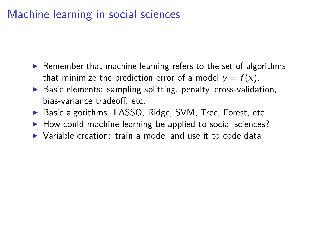- $\triangleright$  Remember that machine learning refers to the set of algorithms that minimize the prediction error of a model  $y = f(x)$ .
- $\triangleright$  Basic elements: sampling splitting, penalty, cross-validation, bias-variance tradeoff, etc.
- ▶ Basic algorithms: LASSO, Ridge, SVM, Tree, Forest, etc.
- $\blacktriangleright$  How could machine learning be applied to social sciences?
- $\triangleright$  Variable creation: train a model and use it to code data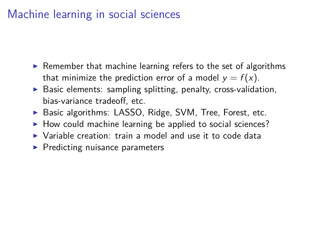- $\triangleright$  Remember that machine learning refers to the set of algorithms that minimize the prediction error of a model  $y = f(x)$ .
- $\triangleright$  Basic elements: sampling splitting, penalty, cross-validation, bias-variance tradeoff, etc.
- ▶ Basic algorithms: LASSO, Ridge, SVM, Tree, Forest, etc.
- $\blacktriangleright$  How could machine learning be applied to social sciences?
- $\triangleright$  Variable creation: train a model and use it to code data
- $\blacktriangleright$  Predicting nuisance parameters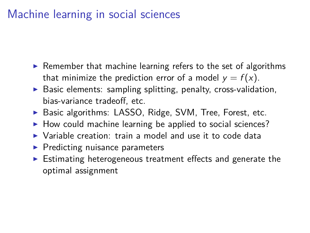- $\triangleright$  Remember that machine learning refers to the set of algorithms that minimize the prediction error of a model  $y = f(x)$ .
- $\triangleright$  Basic elements: sampling splitting, penalty, cross-validation, bias-variance tradeoff, etc.
- ▶ Basic algorithms: LASSO, Ridge, SVM, Tree, Forest, etc.
- $\blacktriangleright$  How could machine learning be applied to social sciences?
- $\triangleright$  Variable creation: train a model and use it to code data
- $\blacktriangleright$  Predicting nuisance parameters
- $\triangleright$  Estimating heterogeneous treatment effects and generate the optimal assignment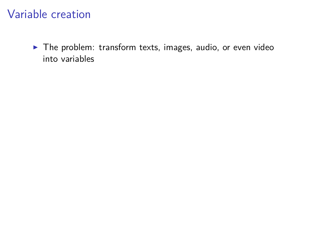$\blacktriangleright$  The problem: transform texts, images, audio, or even video into variables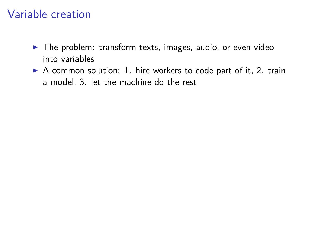- $\blacktriangleright$  The problem: transform texts, images, audio, or even video into variables
- $\triangleright$  A common solution: 1. hire workers to code part of it, 2. train a model, 3. let the machine do the rest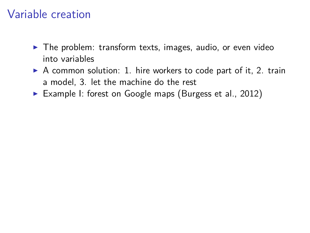- $\blacktriangleright$  The problem: transform texts, images, audio, or even video into variables
- $\triangleright$  A common solution: 1. hire workers to code part of it, 2. train a model, 3. let the machine do the rest
- ▶ Example I: forest on Google maps (Burgess et al., 2012)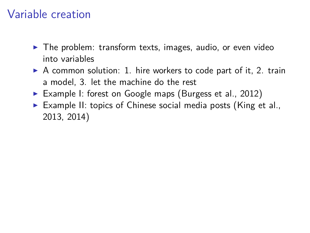- $\blacktriangleright$  The problem: transform texts, images, audio, or even video into variables
- $\triangleright$  A common solution: 1. hire workers to code part of it, 2. train a model, 3. let the machine do the rest
- ▶ Example I: forest on Google maps (Burgess et al., 2012)
- $\triangleright$  Example II: topics of Chinese social media posts (King et al., 2013, 2014)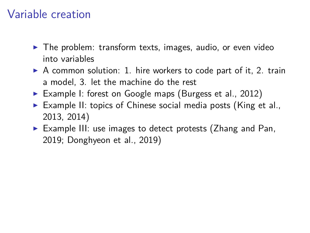- $\blacktriangleright$  The problem: transform texts, images, audio, or even video into variables
- $\triangleright$  A common solution: 1. hire workers to code part of it, 2. train a model, 3. let the machine do the rest
- Example I: forest on Google maps (Burgess et al., 2012)
- $\triangleright$  Example II: topics of Chinese social media posts (King et al., 2013, 2014)
- $\triangleright$  Example III: use images to detect protests (Zhang and Pan, 2019; Donghyeon et al., 2019)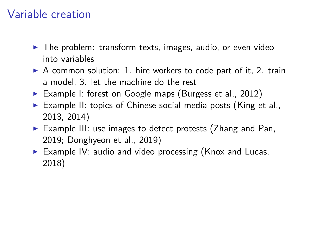- $\blacktriangleright$  The problem: transform texts, images, audio, or even video into variables
- $\triangleright$  A common solution: 1. hire workers to code part of it, 2. train a model, 3. let the machine do the rest
- ▶ Example I: forest on Google maps (Burgess et al., 2012)
- $\triangleright$  Example II: topics of Chinese social media posts (King et al., 2013, 2014)
- $\triangleright$  Example III: use images to detect protests (Zhang and Pan, 2019; Donghyeon et al., 2019)
- Example IV: audio and video processing (Knox and Lucas, 2018)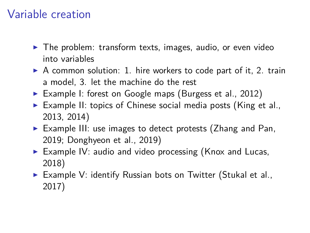- $\blacktriangleright$  The problem: transform texts, images, audio, or even video into variables
- $\triangleright$  A common solution: 1. hire workers to code part of it, 2. train a model, 3. let the machine do the rest
- ▶ Example I: forest on Google maps (Burgess et al., 2012)
- $\triangleright$  Example II: topics of Chinese social media posts (King et al., 2013, 2014)
- $\triangleright$  Example III: use images to detect protests (Zhang and Pan, 2019; Donghyeon et al., 2019)
- Example IV: audio and video processing (Knox and Lucas, 2018)
- $\triangleright$  Example V: identify Russian bots on Twitter (Stukal et al., 2017)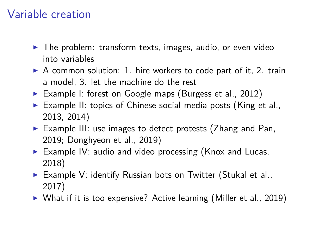- $\blacktriangleright$  The problem: transform texts, images, audio, or even video into variables
- $\triangleright$  A common solution: 1. hire workers to code part of it, 2. train a model, 3. let the machine do the rest
- ▶ Example I: forest on Google maps (Burgess et al., 2012)
- Example II: topics of Chinese social media posts (King et al., 2013, 2014)
- $\triangleright$  Example III: use images to detect protests (Zhang and Pan, 2019; Donghyeon et al., 2019)
- Example IV: audio and video processing (Knox and Lucas, 2018)
- $\triangleright$  Example V: identify Russian bots on Twitter (Stukal et al., 2017)
- $\triangleright$  What if it is too expensive? Active learning (Miller et al., 2019)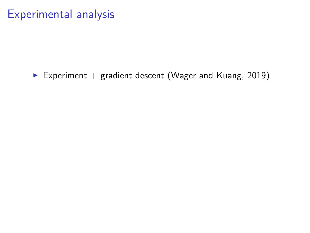Experiment + gradient descent (Wager and Kuang, 2019)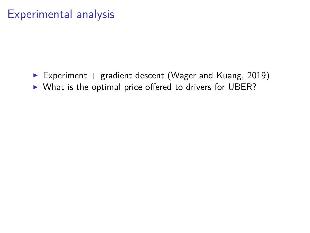- Experiment  $+$  gradient descent (Wager and Kuang, 2019)
- $\triangleright$  What is the optimal price offered to drivers for UBER?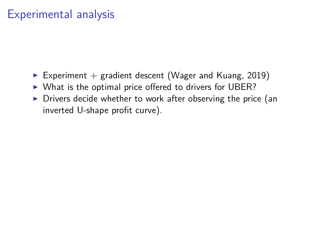- Experiment  $+$  gradient descent (Wager and Kuang, 2019)
- $\triangleright$  What is the optimal price offered to drivers for UBER?
- $\triangleright$  Drivers decide whether to work after observing the price (an inverted U-shape profit curve).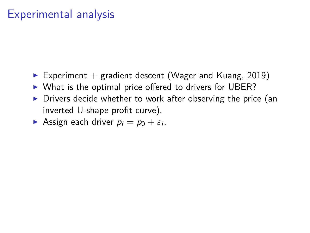- Experiment  $+$  gradient descent (Wager and Kuang, 2019)
- $\triangleright$  What is the optimal price offered to drivers for UBER?
- $\triangleright$  Drivers decide whether to work after observing the price (an inverted U-shape profit curve).
- **Assign each driver**  $p_i = p_0 + \varepsilon_i$ .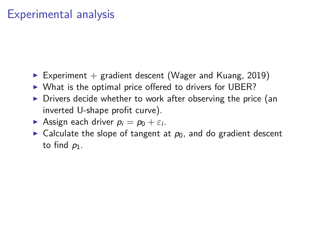- Experiment  $+$  gradient descent (Wager and Kuang, 2019)
- $\triangleright$  What is the optimal price offered to drivers for UBER?
- $\triangleright$  Drivers decide whether to work after observing the price (an inverted U-shape profit curve).
- **Assign each driver**  $p_i = p_0 + \varepsilon_i$ .
- $\triangleright$  Calculate the slope of tangent at  $p_0$ , and do gradient descent to find  $p_1$ .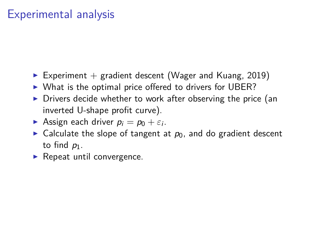- Experiment  $+$  gradient descent (Wager and Kuang, 2019)
- $\triangleright$  What is the optimal price offered to drivers for UBER?
- $\triangleright$  Drivers decide whether to work after observing the price (an inverted U-shape profit curve).
- **Assign each driver**  $p_i = p_0 + \varepsilon_i$ .
- $\triangleright$  Calculate the slope of tangent at  $p_0$ , and do gradient descent to find  $p_1$ .
- $\blacktriangleright$  Repeat until convergence.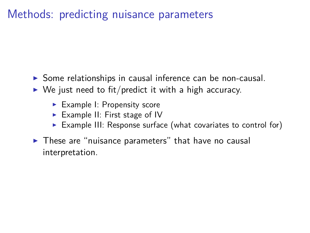- $\triangleright$  Some relationships in causal inference can be non-causal.
- $\triangleright$  We just need to fit/predict it with a high accuracy.
	- $\blacktriangleright$  Example I: Propensity score
	- Example II: First stage of IV
	- Example III: Response surface (what covariates to control for)
- $\triangleright$  These are "nuisance parameters" that have no causal interpretation.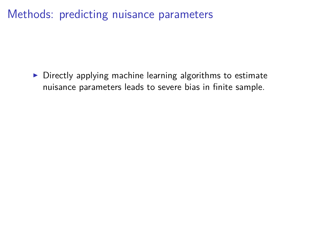$\triangleright$  Directly applying machine learning algorithms to estimate nuisance parameters leads to severe bias in finite sample.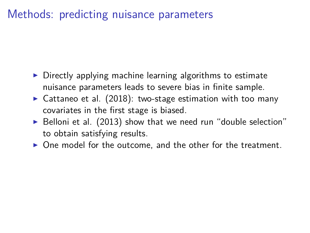- $\triangleright$  Directly applying machine learning algorithms to estimate nuisance parameters leads to severe bias in finite sample.
- $\triangleright$  Cattaneo et al. (2018): two-stage estimation with too many covariates in the first stage is biased.
- $\triangleright$  Belloni et al. (2013) show that we need run "double selection" to obtain satisfying results.
- $\triangleright$  One model for the outcome, and the other for the treatment.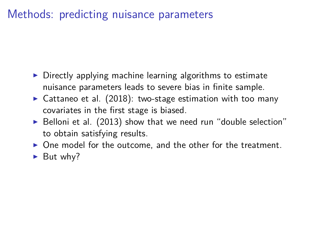- $\triangleright$  Directly applying machine learning algorithms to estimate nuisance parameters leads to severe bias in finite sample.
- $\triangleright$  Cattaneo et al. (2018): two-stage estimation with too many covariates in the first stage is biased.
- $\triangleright$  Belloni et al. (2013) show that we need run "double selection" to obtain satisfying results.
- $\triangleright$  One model for the outcome, and the other for the treatment.
- $\blacktriangleright$  But why?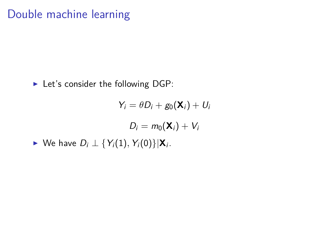$$
\blacktriangleright
$$
 Let's consider the following DGP:

$$
Y_i = \theta D_i + g_0(\mathbf{X}_i) + U_i
$$
  

$$
D_i = m_0(\mathbf{X}_i) + V_i
$$
  
• We have  $D_i \perp \{Y_i(1), Y_i(0)\}|\mathbf{X}_i$ .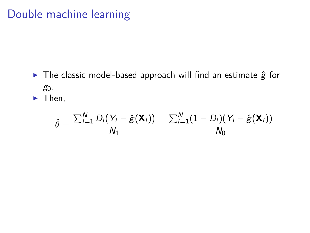$\triangleright$  The classic model-based approach will find an estimate  $\hat{g}$  for  $g_0$ .

 $\blacktriangleright$  Then,

$$
\hat{\theta} = \frac{\sum_{i=1}^{N} D_i(Y_i - \hat{g}(\mathbf{X}_i))}{N_1} - \frac{\sum_{i=1}^{N} (1 - D_i)(Y_i - \hat{g}(\mathbf{X}_i))}{N_0}
$$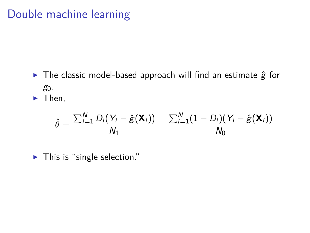$\triangleright$  The classic model-based approach will find an estimate  $\hat{g}$  for  $g_0$ .

 $\blacktriangleright$  Then,

$$
\hat{\theta} = \frac{\sum_{i=1}^{N} D_i(Y_i - \hat{g}(\mathbf{X}_i))}{N_1} - \frac{\sum_{i=1}^{N} (1 - D_i)(Y_i - \hat{g}(\mathbf{X}_i))}{N_0}
$$

 $\blacktriangleright$  This is "single selection."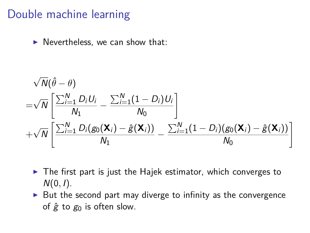$\blacktriangleright$  Nevertheless, we can show that:

$$
\sqrt{N}(\hat{\theta} - \theta)
$$
\n
$$
= \sqrt{N} \left[ \frac{\sum_{i=1}^{N} D_i U_i}{N_1} - \frac{\sum_{i=1}^{N} (1 - D_i) U_i}{N_0} \right]
$$
\n
$$
+ \sqrt{N} \left[ \frac{\sum_{i=1}^{N} D_i (g_0(\mathbf{X}_i) - \hat{g}(\mathbf{X}_i))}{N_1} - \frac{\sum_{i=1}^{N} (1 - D_i) (g_0(\mathbf{X}_i) - \hat{g}(\mathbf{X}_i))}{N_0} \right]
$$

- $\triangleright$  The first part is just the Hajek estimator, which converges to  $N(0, I)$ .
- $\triangleright$  But the second part may diverge to infinity as the convergence of  $\hat{g}$  to  $g_0$  is often slow.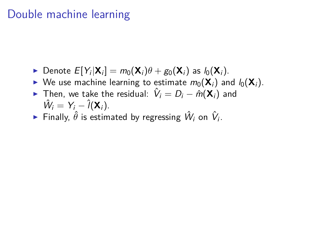- ▶ Denote  $E[Y_i|\mathbf{X}_i] = m_0(\mathbf{X}_i)\theta + g_0(\mathbf{X}_i)$  as  $l_0(\mathbf{X}_i)$ .
- $\triangleright$  We use machine learning to estimate  $m_0(\mathbf{X}_i)$  and  $l_0(\mathbf{X}_i)$ .
- ► Then, we take the residual:  $\hat{V}_i = D_i \hat{m}(\mathbf{X}_i)$  and  $\hat{W}_i = Y_i - \hat{l}(\mathbf{X}_i).$
- $\blacktriangleright$  Finally,  $\hat{\theta}$  is estimated by regressing  $\hat{W}_i$  on  $\hat{V}_i$ .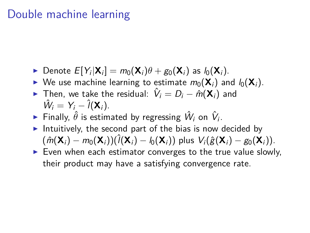- ▶ Denote  $E[Y_i|\mathbf{X}_i] = m_0(\mathbf{X}_i)\theta + g_0(\mathbf{X}_i)$  as  $l_0(\mathbf{X}_i)$ .
- $\triangleright$  We use machine learning to estimate  $m_0(\mathbf{X}_i)$  and  $l_0(\mathbf{X}_i)$ .
- ► Then, we take the residual:  $\hat{V}_i = D_i \hat{m}(\mathbf{X}_i)$  and  $\hat{W}_i = Y_i - \hat{l}(\mathbf{X}_i).$
- $\blacktriangleright$  Finally,  $\hat{\theta}$  is estimated by regressing  $\hat{W}_i$  on  $\hat{V}_i$ .
- Intuitively, the second part of the bias is now decided by  $(\hat{m}(\mathbf{X}_i) - m_0(\mathbf{X}_i))(\hat{l}(\mathbf{X}_i) - l_0(\mathbf{X}_i))$  plus  $V_i(\hat{g}(\mathbf{X}_i) - g_0(\mathbf{X}_i)).$
- $\triangleright$  Even when each estimator converges to the true value slowly, their product may have a satisfying convergence rate.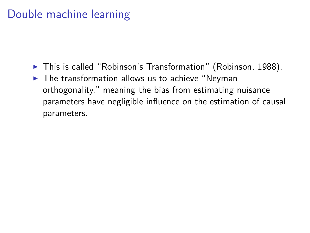- $\blacktriangleright$  This is called "Robinson's Transformation" (Robinson, 1988).
- $\blacktriangleright$  The transformation allows us to achieve "Neyman orthogonality," meaning the bias from estimating nuisance parameters have negligible influence on the estimation of causal parameters.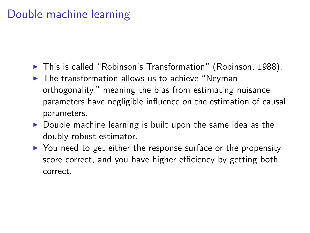- $\blacktriangleright$  This is called "Robinson's Transformation" (Robinson, 1988).
- $\blacktriangleright$  The transformation allows us to achieve "Neyman orthogonality," meaning the bias from estimating nuisance parameters have negligible influence on the estimation of causal parameters.
- $\triangleright$  Double machine learning is built upon the same idea as the doubly robust estimator.
- $\triangleright$  You need to get either the response surface or the propensity score correct, and you have higher efficiency by getting both correct.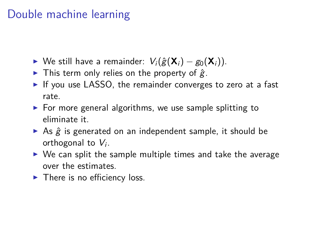- $\triangleright$  We still have a remainder:  $V_i(\hat{g}(\mathbf{X}_i) g_0(\mathbf{X}_i)).$
- In This term only relies on the property of  $\hat{g}$ .
- If you use LASSO, the remainder converges to zero at a fast rate.
- $\triangleright$  For more general algorithms, we use sample splitting to eliminate it.
- As  $\hat{g}$  is generated on an independent sample, it should be orthogonal to  $V_i$ .
- $\triangleright$  We can split the sample multiple times and take the average over the estimates.
- $\blacktriangleright$  There is no efficiency loss.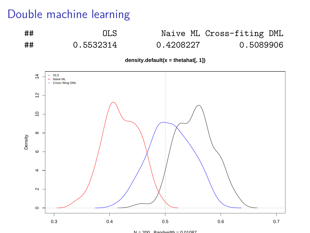## OLS Naive ML Cross-fiting DML ## 0.5532314 0.4208227 0.5089906

**density.default(x = thetahat[, 1])**



 $N = 200$  Bandwidth = 0.01097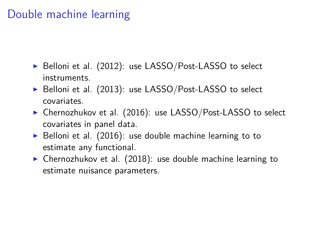- $\triangleright$  Belloni et al. (2012): use LASSO/Post-LASSO to select instruments.
- $\triangleright$  Belloni et al. (2013): use LASSO/Post-LASSO to select covariates.
- ▶ Chernozhukov et al. (2016): use LASSO/Post-LASSO to select covariates in panel data.
- $\triangleright$  Belloni et al. (2016): use double machine learning to to estimate any functional.
- $\triangleright$  Chernozhukov et al. (2018): use double machine learning to estimate nuisance parameters.